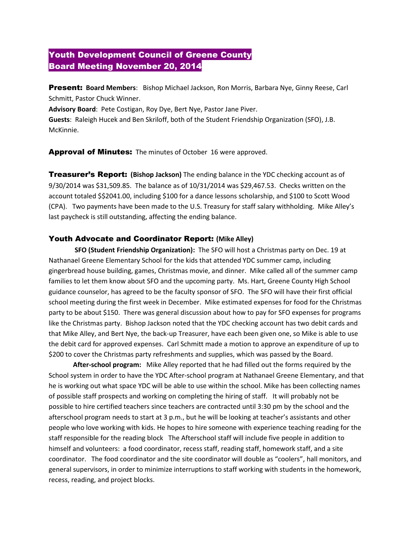# Youth Development Council of Greene County Board Meeting November 20, 2014

Present: **Board Members**: Bishop Michael Jackson, Ron Morris, Barbara Nye, Ginny Reese, Carl Schmitt, Pastor Chuck Winner.

**Advisory Board**: Pete Costigan, Roy Dye, Bert Nye, Pastor Jane Piver.

**Guests**: Raleigh Hucek and Ben Skriloff, both of the Student Friendship Organization (SFO), J.B. McKinnie.

Approval of Minutes: The minutes of October 16 were approved.

Treasurer's Report: **(Bishop Jackson)** The ending balance in the YDC checking account as of 9/30/2014 was \$31,509.85. The balance as of 10/31/2014 was \$29,467.53. Checks written on the account totaled \$\$2041.00, including \$100 for a dance lessons scholarship, and \$100 to Scott Wood (CPA). Two payments have been made to the U.S. Treasury for staff salary withholding. Mike Alley's last paycheck is still outstanding, affecting the ending balance.

# Youth Advocate and Coordinator Report: **(Mike Alley)**

**SFO (Student Friendship Organization):** The SFO will host a Christmas party on Dec. 19 at Nathanael Greene Elementary School for the kids that attended YDC summer camp, including gingerbread house building, games, Christmas movie, and dinner. Mike called all of the summer camp families to let them know about SFO and the upcoming party. Ms. Hart, Greene County High School guidance counselor, has agreed to be the faculty sponsor of SFO. The SFO will have their first official school meeting during the first week in December. Mike estimated expenses for food for the Christmas party to be about \$150. There was general discussion about how to pay for SFO expenses for programs like the Christmas party. Bishop Jackson noted that the YDC checking account has two debit cards and that Mike Alley, and Bert Nye, the back-up Treasurer, have each been given one, so Mike is able to use the debit card for approved expenses. Carl Schmitt made a motion to approve an expenditure of up to \$200 to cover the Christmas party refreshments and supplies, which was passed by the Board.

**After-school program:** Mike Alley reported that he had filled out the forms required by the School system in order to have the YDC After-school program at Nathanael Greene Elementary, and that he is working out what space YDC will be able to use within the school. Mike has been collecting names of possible staff prospects and working on completing the hiring of staff. It will probably not be possible to hire certified teachers since teachers are contracted until 3:30 pm by the school and the afterschool program needs to start at 3 p.m., but he will be looking at teacher's assistants and other people who love working with kids. He hopes to hire someone with experience teaching reading for the staff responsible for the reading block The Afterschool staff will include five people in addition to himself and volunteers: a food coordinator, recess staff, reading staff, homework staff, and a site coordinator. The food coordinator and the site coordinator will double as "coolers", hall monitors, and general supervisors, in order to minimize interruptions to staff working with students in the homework, recess, reading, and project blocks.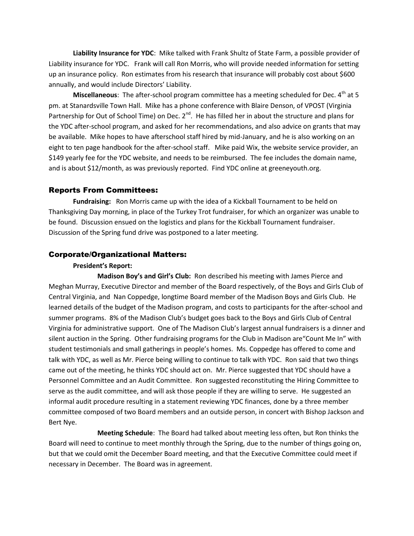**Liability Insurance for YDC**: Mike talked with Frank Shultz of State Farm, a possible provider of Liability insurance for YDC. Frank will call Ron Morris, who will provide needed information for setting up an insurance policy. Ron estimates from his research that insurance will probably cost about \$600 annually, and would include Directors' Liability.

Miscellaneous: The after-school program committee has a meeting scheduled for Dec. 4<sup>th</sup> at 5 pm. at Stanardsville Town Hall. Mike has a phone conference with Blaire Denson, of VPOST (Virginia Partnership for Out of School Time) on Dec.  $2^{nd}$ . He has filled her in about the structure and plans for the YDC after-school program, and asked for her recommendations, and also advice on grants that may be available. Mike hopes to have afterschool staff hired by mid-January, and he is also working on an eight to ten page handbook for the after-school staff. Mike paid Wix, the website service provider, an \$149 yearly fee for the YDC website, and needs to be reimbursed. The fee includes the domain name, and is about \$12/month, as was previously reported. Find YDC online at greeneyouth.org.

### Reports From Committees:

**Fundraising:** Ron Morris came up with the idea of a Kickball Tournament to be held on Thanksgiving Day morning, in place of the Turkey Trot fundraiser, for which an organizer was unable to be found. Discussion ensued on the logistics and plans for the Kickball Tournament fundraiser. Discussion of the Spring fund drive was postponed to a later meeting.

## Corporate/Organizational Matters:

#### **President's Report:**

**Madison Boy's and Girl's Club:** Ron described his meeting with James Pierce and Meghan Murray, Executive Director and member of the Board respectively, of the Boys and Girls Club of Central Virginia, and Nan Coppedge, longtime Board member of the Madison Boys and Girls Club. He learned details of the budget of the Madison program, and costs to participants for the after-school and summer programs. 8% of the Madison Club's budget goes back to the Boys and Girls Club of Central Virginia for administrative support. One of The Madison Club's largest annual fundraisers is a dinner and silent auction in the Spring. Other fundraising programs for the Club in Madison are"Count Me In" with student testimonials and small gatherings in people's homes. Ms. Coppedge has offered to come and talk with YDC, as well as Mr. Pierce being willing to continue to talk with YDC. Ron said that two things came out of the meeting, he thinks YDC should act on. Mr. Pierce suggested that YDC should have a Personnel Committee and an Audit Committee. Ron suggested reconstituting the Hiring Committee to serve as the audit committee, and will ask those people if they are willing to serve. He suggested an informal audit procedure resulting in a statement reviewing YDC finances, done by a three member committee composed of two Board members and an outside person, in concert with Bishop Jackson and Bert Nye.

**Meeting Schedule**: The Board had talked about meeting less often, but Ron thinks the Board will need to continue to meet monthly through the Spring, due to the number of things going on, but that we could omit the December Board meeting, and that the Executive Committee could meet if necessary in December. The Board was in agreement.